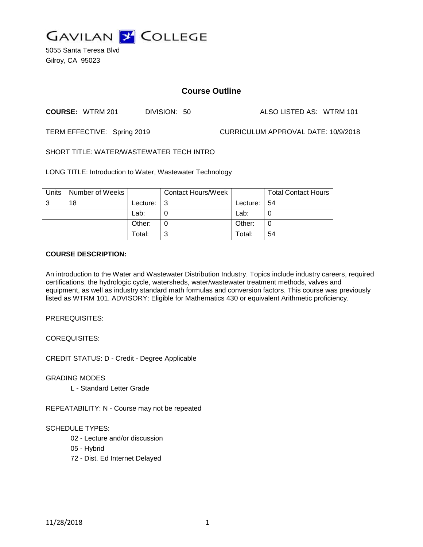

5055 Santa Teresa Blvd Gilroy, CA 95023

# **Course Outline**

**COURSE:** WTRM 201 DIVISION: 50 ALSO LISTED AS: WTRM 101

TERM EFFECTIVE: Spring 2019 CURRICULUM APPROVAL DATE: 10/9/2018

SHORT TITLE: WATER/WASTEWATER TECH INTRO

LONG TITLE: Introduction to Water, Wastewater Technology

| <b>Units</b> | Number of Weeks |          | <b>Contact Hours/Week</b> |          | <b>Total Contact Hours</b> |
|--------------|-----------------|----------|---------------------------|----------|----------------------------|
| 3            | 18              | Lecture: | - 3                       | Lecture: | 54                         |
|              |                 | Lab:     |                           | Lab:     | C                          |
|              |                 | Other:   |                           | Other:   | C                          |
|              |                 | Total:   | ົ                         | Total:   | 54                         |

# **COURSE DESCRIPTION:**

An introduction to the Water and Wastewater Distribution Industry. Topics include industry careers, required certifications, the hydrologic cycle, watersheds, water/wastewater treatment methods, valves and equipment, as well as industry standard math formulas and conversion factors. This course was previously listed as WTRM 101. ADVISORY: Eligible for Mathematics 430 or equivalent Arithmetic proficiency.

PREREQUISITES:

COREQUISITES:

CREDIT STATUS: D - Credit - Degree Applicable

GRADING MODES

L - Standard Letter Grade

REPEATABILITY: N - Course may not be repeated

# SCHEDULE TYPES:

- 02 Lecture and/or discussion
- 05 Hybrid
- 72 Dist. Ed Internet Delayed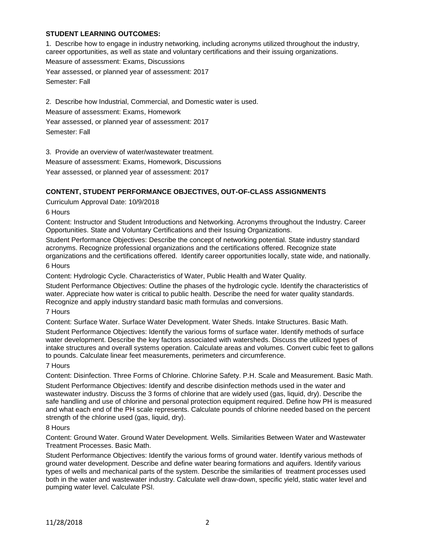# **STUDENT LEARNING OUTCOMES:**

1. Describe how to engage in industry networking, including acronyms utilized throughout the industry, career opportunities, as well as state and voluntary certifications and their issuing organizations. Measure of assessment: Exams, Discussions Year assessed, or planned year of assessment: 2017 Semester: Fall

2. Describe how Industrial, Commercial, and Domestic water is used. Measure of assessment: Exams, Homework Year assessed, or planned year of assessment: 2017 Semester: Fall

3. Provide an overview of water/wastewater treatment.

Measure of assessment: Exams, Homework, Discussions

Year assessed, or planned year of assessment: 2017

# **CONTENT, STUDENT PERFORMANCE OBJECTIVES, OUT-OF-CLASS ASSIGNMENTS**

Curriculum Approval Date: 10/9/2018

6 Hours

Content: Instructor and Student Introductions and Networking. Acronyms throughout the Industry. Career Opportunities. State and Voluntary Certifications and their Issuing Organizations.

Student Performance Objectives: Describe the concept of networking potential. State industry standard acronyms. Recognize professional organizations and the certifications offered. Recognize state organizations and the certifications offered. Identify career opportunities locally, state wide, and nationally. 6 Hours

Content: Hydrologic Cycle. Characteristics of Water, Public Health and Water Quality.

Student Performance Objectives: Outline the phases of the hydrologic cycle. Identify the characteristics of water. Appreciate how water is critical to public health. Describe the need for water quality standards. Recognize and apply industry standard basic math formulas and conversions.

#### 7 Hours

Content: Surface Water. Surface Water Development. Water Sheds. Intake Structures. Basic Math.

Student Performance Objectives: Identify the various forms of surface water. Identify methods of surface water development. Describe the key factors associated with watersheds. Discuss the utilized types of intake structures and overall systems operation. Calculate areas and volumes. Convert cubic feet to gallons to pounds. Calculate linear feet measurements, perimeters and circumference.

#### 7 Hours

Content: Disinfection. Three Forms of Chlorine. Chlorine Safety. P.H. Scale and Measurement. Basic Math. Student Performance Objectives: Identify and describe disinfection methods used in the water and wastewater industry. Discuss the 3 forms of chlorine that are widely used (gas, liquid, dry). Describe the safe handling and use of chlorine and personal protection equipment required. Define how PH is measured and what each end of the PH scale represents. Calculate pounds of chlorine needed based on the percent strength of the chlorine used (gas, liquid, dry).

#### 8 Hours

Content: Ground Water. Ground Water Development. Wells. Similarities Between Water and Wastewater Treatment Processes. Basic Math.

Student Performance Objectives: Identify the various forms of ground water. Identify various methods of ground water development. Describe and define water bearing formations and aquifers. Identify various types of wells and mechanical parts of the system. Describe the similarities of treatment processes used both in the water and wastewater industry. Calculate well draw-down, specific yield, static water level and pumping water level. Calculate PSI.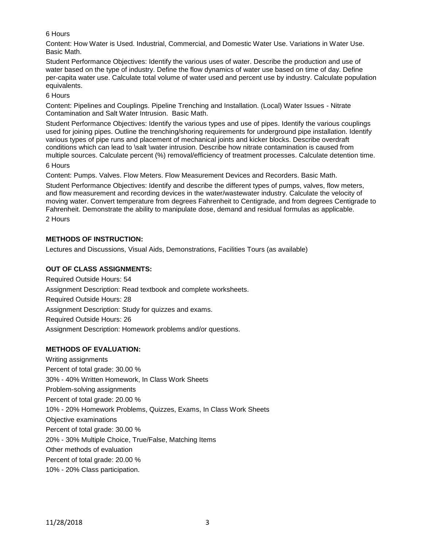# 6 Hours

Content: How Water is Used. Industrial, Commercial, and Domestic Water Use. Variations in Water Use. Basic Math.

Student Performance Objectives: Identify the various uses of water. Describe the production and use of water based on the type of industry. Define the flow dynamics of water use based on time of day. Define per-capita water use. Calculate total volume of water used and percent use by industry. Calculate population equivalents.

6 Hours

Content: Pipelines and Couplings. Pipeline Trenching and Installation. (Local) Water Issues - Nitrate Contamination and Salt Water Intrusion. Basic Math.

Student Performance Objectives: Identify the various types and use of pipes. Identify the various couplings used for joining pipes. Outline the trenching/shoring requirements for underground pipe installation. Identify various types of pipe runs and placement of mechanical joints and kicker blocks. Describe overdraft conditions which can lead to \salt \water intrusion. Describe how nitrate contamination is caused from multiple sources. Calculate percent (%) removal/efficiency of treatment processes. Calculate detention time.

# 6 Hours

Content: Pumps. Valves. Flow Meters. Flow Measurement Devices and Recorders. Basic Math.

Student Performance Objectives: Identify and describe the different types of pumps, valves, flow meters, and flow measurement and recording devices in the water/wastewater industry. Calculate the velocity of moving water. Convert temperature from degrees Fahrenheit to Centigrade, and from degrees Centigrade to Fahrenheit. Demonstrate the ability to manipulate dose, demand and residual formulas as applicable. 2 Hours

# **METHODS OF INSTRUCTION:**

Lectures and Discussions, Visual Aids, Demonstrations, Facilities Tours (as available)

# **OUT OF CLASS ASSIGNMENTS:**

Required Outside Hours: 54 Assignment Description: Read textbook and complete worksheets. Required Outside Hours: 28 Assignment Description: Study for quizzes and exams. Required Outside Hours: 26 Assignment Description: Homework problems and/or questions.

# **METHODS OF EVALUATION:**

Writing assignments Percent of total grade: 30.00 % 30% - 40% Written Homework, In Class Work Sheets Problem-solving assignments Percent of total grade: 20.00 % 10% - 20% Homework Problems, Quizzes, Exams, In Class Work Sheets Objective examinations Percent of total grade: 30.00 % 20% - 30% Multiple Choice, True/False, Matching Items Other methods of evaluation Percent of total grade: 20.00 % 10% - 20% Class participation.